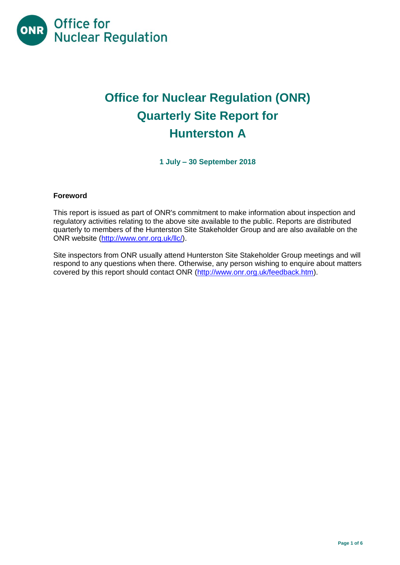

# **Office for Nuclear Regulation (ONR) Quarterly Site Report for Hunterston A**

**1 July – 30 September 2018**

## **Foreword**

This report is issued as part of ONR's commitment to make information about inspection and regulatory activities relating to the above site available to the public. Reports are distributed quarterly to members of the Hunterston Site Stakeholder Group and are also available on the ONR website [\(http://www.onr.org.uk/llc/\)](http://www.onr.org.uk/llc/).

Site inspectors from ONR usually attend Hunterston Site Stakeholder Group meetings and will respond to any questions when there. Otherwise, any person wishing to enquire about matters covered by this report should contact ONR [\(http://www.onr.org.uk/feedback.htm\)](http://www.onr.org.uk/feedback.htm).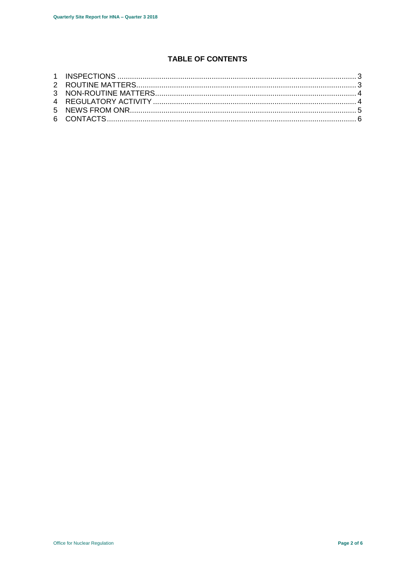## **TABLE OF CONTENTS**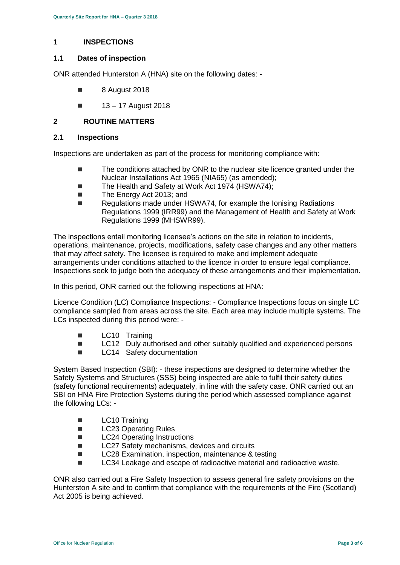#### <span id="page-2-0"></span>**1 INSPECTIONS**

#### **1.1 Dates of inspection**

ONR attended Hunterston A (HNA) site on the following dates: -

- **8** August 2018
- $13 17$  August 2018

## <span id="page-2-1"></span>**2 ROUTINE MATTERS**

#### **2.1 Inspections**

Inspections are undertaken as part of the process for monitoring compliance with:

- The conditions attached by ONR to the nuclear site licence granted under the Nuclear Installations Act 1965 (NIA65) (as amended);
- The Health and Safety at Work Act 1974 (HSWA74):
- The Energy Act 2013; and
- Regulations made under HSWA74, for example the Ionising Radiations Regulations 1999 (IRR99) and the Management of Health and Safety at Work Regulations 1999 (MHSWR99).

The inspections entail monitoring licensee's actions on the site in relation to incidents, operations, maintenance, projects, modifications, safety case changes and any other matters that may affect safety. The licensee is required to make and implement adequate arrangements under conditions attached to the licence in order to ensure legal compliance. Inspections seek to judge both the adequacy of these arrangements and their implementation.

In this period, ONR carried out the following inspections at HNA:

Licence Condition (LC) Compliance Inspections: - Compliance Inspections focus on single LC compliance sampled from areas across the site. Each area may include multiple systems. The LCs inspected during this period were: -

- **LC10 Training**
- LC12 Duly authorised and other suitably qualified and experienced persons
- **LC14** Safety documentation

System Based Inspection (SBI): - these inspections are designed to determine whether the Safety Systems and Structures (SSS) being inspected are able to fulfil their safety duties (safety functional requirements) adequately, in line with the safety case. ONR carried out an SBI on HNA Fire Protection Systems during the period which assessed compliance against the following LCs: -

- **LC10 Training**
- **LC23 Operating Rules**
- **LC24 Operating Instructions**
- LC27 Safety mechanisms, devices and circuits
- LC28 Examination, inspection, maintenance & testing
- LC34 Leakage and escape of radioactive material and radioactive waste.

ONR also carried out a Fire Safety Inspection to assess general fire safety provisions on the Hunterston A site and to confirm that compliance with the requirements of the Fire (Scotland) Act 2005 is being achieved.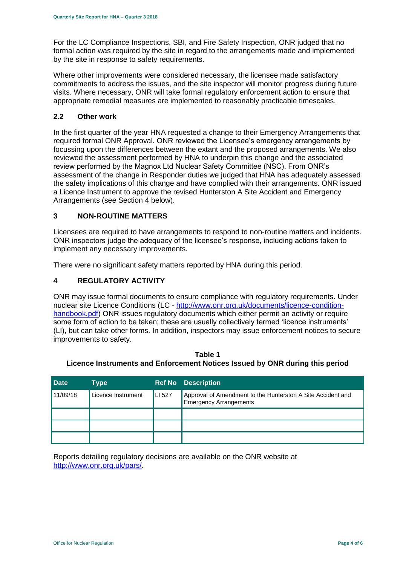For the LC Compliance Inspections, SBI, and Fire Safety Inspection, ONR judged that no formal action was required by the site in regard to the arrangements made and implemented by the site in response to safety requirements.

Where other improvements were considered necessary, the licensee made satisfactory commitments to address the issues, and the site inspector will monitor progress during future visits. Where necessary, ONR will take formal regulatory enforcement action to ensure that appropriate remedial measures are implemented to reasonably practicable timescales.

#### **2.2 Other work**

In the first quarter of the year HNA requested a change to their Emergency Arrangements that required formal ONR Approval. ONR reviewed the Licensee's emergency arrangements by focussing upon the differences between the extant and the proposed arrangements. We also reviewed the assessment performed by HNA to underpin this change and the associated review performed by the Magnox Ltd Nuclear Safety Committee (NSC). From ONR's assessment of the change in Responder duties we judged that HNA has adequately assessed the safety implications of this change and have complied with their arrangements. ONR issued a Licence Instrument to approve the revised Hunterston A Site Accident and Emergency Arrangements (see Section 4 below).

## <span id="page-3-0"></span>**3 NON-ROUTINE MATTERS**

Licensees are required to have arrangements to respond to non-routine matters and incidents. ONR inspectors judge the adequacy of the licensee's response, including actions taken to implement any necessary improvements.

There were no significant safety matters reported by HNA during this period.

#### <span id="page-3-1"></span>**4 REGULATORY ACTIVITY**

ONR may issue formal documents to ensure compliance with regulatory requirements. Under nuclear site Licence Conditions (LC - [http://www.onr.org.uk/documents/licence-condition](http://www.onr.org.uk/documents/licence-condition-handbook.pdf)[handbook.pdf\)](http://www.onr.org.uk/documents/licence-condition-handbook.pdf) ONR issues regulatory documents which either permit an activity or require some form of action to be taken; these are usually collectively termed 'licence instruments' (LI), but can take other forms. In addition, inspectors may issue enforcement notices to secure improvements to safety.

**Table 1 Licence Instruments and Enforcement Notices Issued by ONR during this period**

| <b>Date</b> | Type               |        | <b>Ref No Description</b>                                                                    |
|-------------|--------------------|--------|----------------------------------------------------------------------------------------------|
| 11/09/18    | Licence Instrument | LI 527 | Approval of Amendment to the Hunterston A Site Accident and<br><b>Emergency Arrangements</b> |
|             |                    |        |                                                                                              |
|             |                    |        |                                                                                              |
|             |                    |        |                                                                                              |

<span id="page-3-2"></span>Reports detailing regulatory decisions are available on the ONR website at [http://www.onr.org.uk/pars/.](http://www.onr.org.uk/pars/)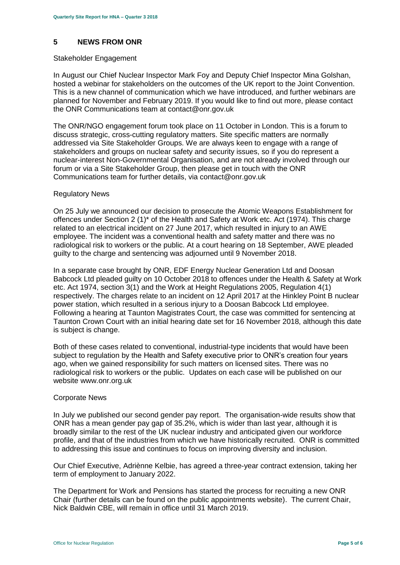## **5 NEWS FROM ONR**

#### Stakeholder Engagement

In August our Chief Nuclear Inspector Mark Foy and Deputy Chief Inspector Mina Golshan, hosted a webinar for stakeholders on the outcomes of the UK report to the Joint Convention. This is a new channel of communication which we have introduced, and further webinars are planned for November and February 2019. If you would like to find out more, please contact the ONR Communications team at contact@onr.gov.uk

The ONR/NGO engagement forum took place on 11 October in London. This is a forum to discuss strategic, cross-cutting regulatory matters. Site specific matters are normally addressed via Site Stakeholder Groups. We are always keen to engage with a range of stakeholders and groups on nuclear safety and security issues, so if you do represent a nuclear-interest Non-Governmental Organisation, and are not already involved through our forum or via a Site Stakeholder Group, then please get in touch with the ONR Communications team for further details, via contact@onr.gov.uk

#### Regulatory News

On 25 July we announced our decision to prosecute the Atomic Weapons Establishment for offences under Section 2 (1)\* of the Health and Safety at Work etc. Act (1974). This charge related to an electrical incident on 27 June 2017, which resulted in injury to an AWE employee. The incident was a conventional health and safety matter and there was no radiological risk to workers or the public. At a court hearing on 18 September, AWE pleaded guilty to the charge and sentencing was adjourned until 9 November 2018.

In a separate case brought by ONR, EDF Energy Nuclear Generation Ltd and Doosan Babcock Ltd pleaded guilty on 10 October 2018 to offences under the Health & Safety at Work etc. Act 1974, section 3(1) and the Work at Height Regulations 2005, Regulation 4(1) respectively. The charges relate to an incident on 12 April 2017 at the Hinkley Point B nuclear power station, which resulted in a serious injury to a Doosan Babcock Ltd employee. Following a hearing at Taunton Magistrates Court, the case was committed for sentencing at Taunton Crown Court with an initial hearing date set for 16 November 2018, although this date is subject is change.

Both of these cases related to conventional, industrial-type incidents that would have been subject to regulation by the Health and Safety executive prior to ONR's creation four years ago, when we gained responsibility for such matters on licensed sites. There was no radiological risk to workers or the public. Updates on each case will be published on our website www.onr.org.uk

#### Corporate News

In July we published our second gender pay report. The organisation-wide results show that ONR has a mean gender pay gap of 35.2%, which is wider than last year, although it is broadly similar to the rest of the UK nuclear industry and anticipated given our workforce profile, and that of the industries from which we have historically recruited. ONR is committed to addressing this issue and continues to focus on improving diversity and inclusion.

Our Chief Executive, Adriènne Kelbie, has agreed a three-year contract extension, taking her term of employment to January 2022.

The Department for Work and Pensions has started the process for recruiting a new ONR Chair (further details can be found on the public appointments website). The current Chair, Nick Baldwin CBE, will remain in office until 31 March 2019.